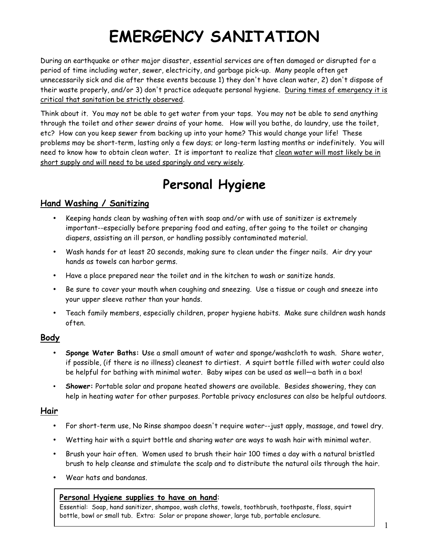# **EMERGENCY SANITATION**

During an earthquake or other major disaster, essential services are often damaged or disrupted for a period of time including water, sewer, electricity, and garbage pick-up. Many people often get unnecessarily sick and die after these events because 1) they don't have clean water, 2) don't dispose of their waste properly, and/or 3) don't practice adequate personal hygiene. During times of emergency it is critical that sanitation be strictly observed.

Think about it. You may not be able to get water from your taps. You may not be able to send anything through the toilet and other sewer drains of your home. How will you bathe, do laundry, use the toilet, etc? How can you keep sewer from backing up into your home? This would change your life! These problems may be short-term, lasting only a few days; or long-term lasting months or indefinitely. You will need to know how to obtain clean water. It is important to realize that clean water will most likely be in short supply and will need to be used sparingly and very wisely.

# **Personal Hygiene**

### **Hand Washing / Sanitizing**

- Keeping hands clean by washing often with soap and/or with use of sanitizer is extremely important--especially before preparing food and eating, after going to the toilet or changing diapers, assisting an ill person, or handling possibly contaminated material.
- Wash hands for at least 20 seconds, making sure to clean under the finger nails. Air dry your hands as towels can harbor germs.
- Have a place prepared near the toilet and in the kitchen to wash or sanitize hands.
- Be sure to cover your mouth when coughing and sneezing. Use a tissue or cough and sneeze into your upper sleeve rather than your hands.
- Teach family members, especially children, proper hygiene habits. Make sure children wash hands often.

### **Body**

- **Sponge Water Baths: U**se a small amount of water and sponge/washcloth to wash. Share water, if possible, (if there is no illness) cleanest to dirtiest. A squirt bottle filled with water could also be helpful for bathing with minimal water. Baby wipes can be used as well—a bath in a box!
- **Shower:** Portable solar and propane heated showers are available. Besides showering, they can help in heating water for other purposes. Portable privacy enclosures can also be helpful outdoors.

### **Hair**

- For short-term use, No Rinse shampoo doesn't require water--just apply, massage, and towel dry.
- Wetting hair with a squirt bottle and sharing water are ways to wash hair with minimal water.
- Brush your hair often. Women used to brush their hair 100 times a day with a natural bristled brush to help cleanse and stimulate the scalp and to distribute the natural oils through the hair.
- Wear hats and bandanas.

### **Personal Hygiene supplies to have on hand**:

Essential: Soap, hand sanitizer, shampoo, wash cloths, towels, toothbrush, toothpaste, floss, squirt bottle, bowl or small tub. Extra: Solar or propane shower, large tub, portable enclosure.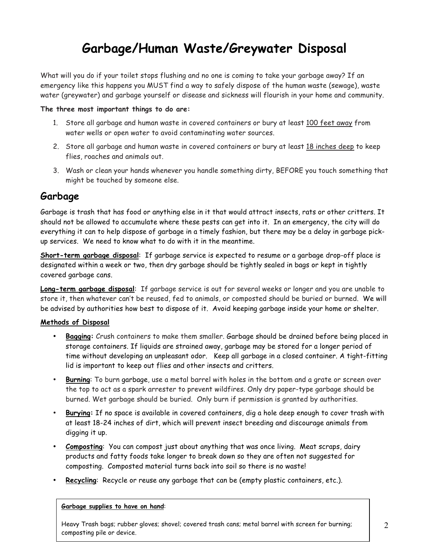# **Garbage/Human Waste/Greywater Disposal**

What will you do if your toilet stops flushing and no one is coming to take your garbage away? If an emergency like this happens you MUST find a way to safely dispose of the human waste (sewage), waste water (greywater) and garbage yourself or disease and sickness will flourish in your home and community.

#### **The three most important things to do are:**

- 1. Store all garbage and human waste in covered containers or bury at least 100 feet away from water wells or open water to avoid contaminating water sources.
- 2. Store all garbage and human waste in covered containers or bury at least 18 inches deep to keep flies, roaches and animals out.
- 3. Wash or clean your hands whenever you handle something dirty, BEFORE you touch something that might be touched by someone else.

### **Garbage**

Garbage is trash that has food or anything else in it that would attract insects, rats or other critters. It should not be allowed to accumulate where these pests can get into it. In an emergency, the city will do everything it can to help dispose of garbage in a timely fashion, but there may be a delay in garbage pickup services. We need to know what to do with it in the meantime.

**Short-term garbage disposal**: If garbage service is expected to resume or a garbage drop-off place is designated within a week or two, then dry garbage should be tightly sealed in bags or kept in tightly covered garbage cans.

**Long-term garbage disposal**: If garbage service is out for several weeks or longer and you are unable to store it, then whatever can't be reused, fed to animals, or composted should be buried or burned. We will be advised by authorities how best to dispose of it. Avoid keeping garbage inside your home or shelter.

#### **Methods of Disposal**

- **Bagging:** Crush containers to make them smaller. Garbage should be drained before being placed in storage containers. If liquids are strained away, garbage may be stored for a longer period of time without developing an unpleasant odor. Keep all garbage in a closed container. A tight-fitting lid is important to keep out flies and other insects and critters.
- **Burning**: To burn garbage, use a metal barrel with holes in the bottom and a grate or screen over the top to act as a spark arrester to prevent wildfires. Only dry paper-type garbage should be burned. Wet garbage should be buried. Only burn if permission is granted by authorities.
- **Burying:** If no space is available in covered containers, dig a hole deep enough to cover trash with at least 18-24 inches of dirt, which will prevent insect breeding and discourage animals from digging it up.
- **Composting**: You can compost just about anything that was once living. Meat scraps, dairy products and fatty foods take longer to break down so they are often not suggested for composting. Composted material turns back into soil so there is no waste!
- **Recycling**: Recycle or reuse any garbage that can be (empty plastic containers, etc.).

#### **Garbage supplies to have on hand**:

Heavy Trash bags; rubber gloves; shovel; covered trash cans; metal barrel with screen for burning; composting pile or device.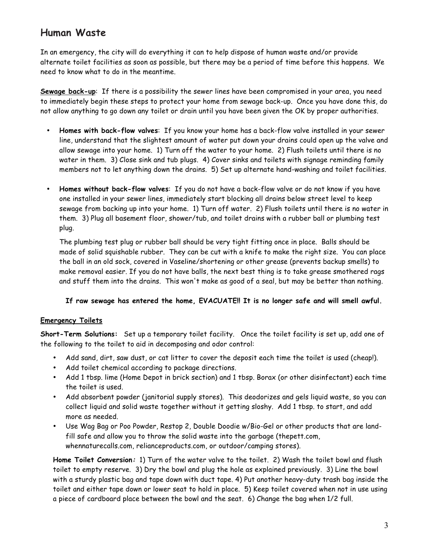### **Human Waste**

In an emergency, the city will do everything it can to help dispose of human waste and/or provide alternate toilet facilities as soon as possible, but there may be a period of time before this happens. We need to know what to do in the meantime.

**Sewage back-up**: If there is a possibility the sewer lines have been compromised in your area, you need to immediately begin these steps to protect your home from sewage back-up. Once you have done this, do not allow anything to go down any toilet or drain until you have been given the OK by proper authorities.

- **Homes with back-flow valves**: If you know your home has a back-flow valve installed in your sewer line, understand that the slightest amount of water put down your drains could open up the valve and allow sewage into your home. 1) Turn off the water to your home. 2) Flush toilets until there is no water in them. 3) Close sink and tub plugs. 4) Cover sinks and toilets with signage reminding family members not to let anything down the drains. 5) Set up alternate hand-washing and toilet facilities.
- **Homes without back-flow valves**: If you do not have a back-flow valve or do not know if you have one installed in your sewer lines, immediately start blocking all drains below street level to keep sewage from backing up into your home. 1) Turn off water. 2) Flush toilets until there is no water in them. 3) Plug all basement floor, shower/tub, and toilet drains with a rubber ball or plumbing test plug.

The plumbing test plug or rubber ball should be very tight fitting once in place. Balls should be made of solid squishable rubber. They can be cut with a knife to make the right size. You can place the ball in an old sock, covered in Vaseline/shortening or other grease (prevents backup smells) to make removal easier. If you do not have balls, the next best thing is to take grease smothered rags and stuff them into the drains. This won't make as good of a seal, but may be better than nothing.

### **If raw sewage has entered the home, EVACUATE!! It is no longer safe and will smell awful.**

### **Emergency Toilets**

**Short-Term Solutions:** Set up a temporary toilet facility. Once the toilet facility is set up, add one of the following to the toilet to aid in decomposing and odor control:

- Add sand, dirt, saw dust, or cat litter to cover the deposit each time the toilet is used (cheap!).
- Add toilet chemical according to package directions.
- Add 1 tbsp. lime (Home Depot in brick section) and 1 tbsp. Borax (or other disinfectant) each time the toilet is used.
- Add absorbent powder (janitorial supply stores). This deodorizes and gels liquid waste, so you can collect liquid and solid waste together without it getting sloshy. Add 1 tbsp. to start, and add more as needed.
- Use Wag Bag or Poo Powder, Restop 2, Double Doodie w/Bio-Gel or other products that are landfill safe and allow you to throw the solid waste into the garbage (thepett.com, whennaturecalls.com, relianceproducts.com, or outdoor/camping stores).

**Home Toilet Conversion:** 1) Turn of the water valve to the toilet. 2) Wash the toilet bowl and flush toilet to empty reserve. 3) Dry the bowl and plug the hole as explained previously. 3) Line the bowl with a sturdy plastic bag and tape down with duct tape. 4) Put another heavy-duty trash bag inside the toilet and either tape down or lower seat to hold in place. 5) Keep toilet covered when not in use using a piece of cardboard place between the bowl and the seat. 6) Change the bag when 1/2 full.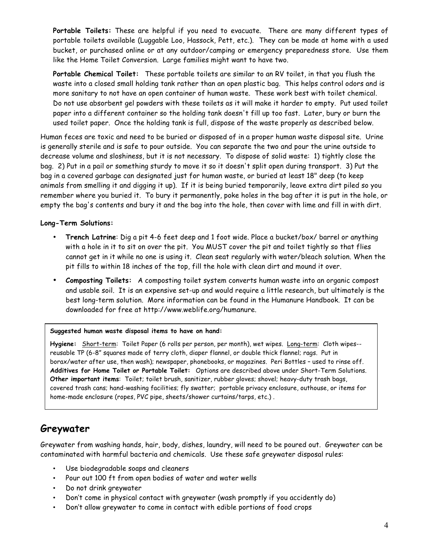**Portable Toilets:** These are helpful if you need to evacuate. There are many different types of portable toilets available (Luggable Loo, Hassock, Pett, etc.). They can be made at home with a used bucket, or purchased online or at any outdoor/camping or emergency preparedness store. Use them like the Home Toilet Conversion. Large families might want to have two.

**Portable Chemical Toilet:** These portable toilets are similar to an RV toilet, in that you flush the waste into a closed small holding tank rather than an open plastic bag. This helps control odors and is more sanitary to not have an open container of human waste. These work best with toilet chemical. Do not use absorbent gel powders with these toilets as it will make it harder to empty. Put used toilet paper into a different container so the holding tank doesn't fill up too fast. Later, bury or burn the used toilet paper. Once the holding tank is full, dispose of the waste properly as described below.

Human feces are toxic and need to be buried or disposed of in a proper human waste disposal site. Urine is generally sterile and is safe to pour outside. You can separate the two and pour the urine outside to decrease volume and sloshiness, but it is not necessary. To dispose of solid waste: 1) tightly close the bag. 2) Put in a pail or something sturdy to move it so it doesn't split open during transport. 3) Put the bag in a covered garbage can designated just for human waste, or buried at least 18" deep (to keep animals from smelling it and digging it up). If it is being buried temporarily, leave extra dirt piled so you remember where you buried it. To bury it permanently, poke holes in the bag after it is put in the hole, or empty the bag's contents and bury it and the bag into the hole, then cover with lime and fill in with dirt.

### **Long-Term Solutions:**

- **Trench Latrine**: Dig a pit 4-6 feet deep and 1 foot wide. Place a bucket/box/ barrel or anything with a hole in it to sit on over the pit. You MUST cover the pit and toilet tightly so that flies cannot get in it while no one is using it. Clean seat regularly with water/bleach solution. When the pit fills to within 18 inches of the top, fill the hole with clean dirt and mound it over.
- **Composting Toilets:** A composting toilet system converts human waste into an organic compost and usable soil. It is an expensive set-up and would require a little research, but ultimately is the best long-term solution. More information can be found in the Humanure Handbook. It can be downloaded for free at http://www.weblife.org/humanure.

#### **Suggested human waste disposal items to have on hand:**

**Hygiene:** Short-term: Toilet Paper (6 rolls per person, per month), wet wipes. Long-term: Cloth wipes- reusable TP (6-8" squares made of terry cloth, diaper flannel, or double thick flannel; rags. Put in borax/water after use, then wash); newspaper, phonebooks, or magazines. Peri Bottles – used to rinse off. **Additives for Home Toilet or Portable Toilet:** Options are described above under Short-Term Solutions. **Other important items**: Toilet; toilet brush, sanitizer, rubber gloves; shovel; heavy-duty trash bags, covered trash cans; hand-washing facilities; fly swatter; portable privacy enclosure, outhouse, or items for home-made enclosure (ropes, PVC pipe, sheets/shower curtains/tarps, etc.) .

### **Greywater**

Greywater from washing hands, hair, body, dishes, laundry, will need to be poured out. Greywater can be contaminated with harmful bacteria and chemicals. Use these safe greywater disposal rules:

- Use biodegradable soaps and cleaners
- Pour out 100 ft from open bodies of water and water wells
- Do not drink greywater
- Don't come in physical contact with greywater (wash promptly if you accidently do)
- Don't allow greywater to come in contact with edible portions of food crops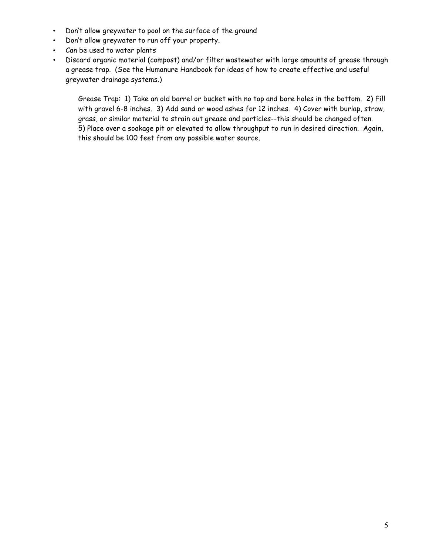- Don't allow greywater to pool on the surface of the ground
- Don't allow greywater to run off your property.
- Can be used to water plants
- Discard organic material (compost) and/or filter wastewater with large amounts of grease through a grease trap. (See the Humanure Handbook for ideas of how to create effective and useful greywater drainage systems.)

Grease Trap: 1) Take an old barrel or bucket with no top and bore holes in the bottom. 2) Fill with gravel 6-8 inches. 3) Add sand or wood ashes for 12 inches. 4) Cover with burlap, straw, grass, or similar material to strain out grease and particles--this should be changed often. 5) Place over a soakage pit or elevated to allow throughput to run in desired direction. Again, this should be 100 feet from any possible water source.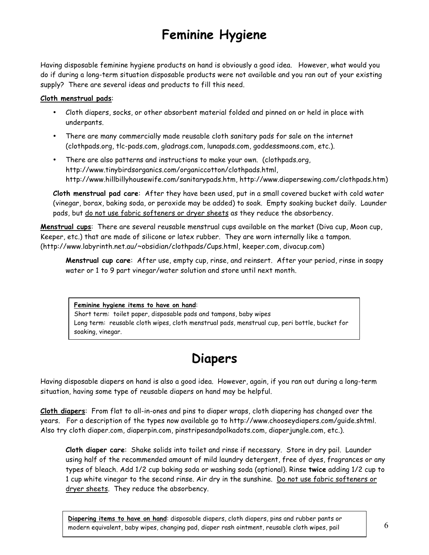# **Feminine Hygiene**

Having disposable feminine hygiene products on hand is obviously a good idea. However, what would you do if during a long-term situation disposable products were not available and you ran out of your existing supply? There are several ideas and products to fill this need.

### **Cloth menstrual pads**:

- Cloth diapers, socks, or other absorbent material folded and pinned on or held in place with underpants.
- There are many commercially made reusable cloth sanitary pads for sale on the internet (clothpads.org, tlc-pads.com, gladrags.com, lunapads.com, goddessmoons.com, etc.).
- There are also patterns and instructions to make your own. (clothpads.org, http://www.tinybirdsorganics.com/organiccotton/clothpads.html, http://www.hillbillyhousewife.com/sanitarypads.htm, http://www.diapersewing.com/clothpads.htm)

**Cloth menstrual pad care**: After they have been used, put in a small covered bucket with cold water (vinegar, borax, baking soda, or peroxide may be added) to soak. Empty soaking bucket daily. Launder pads, but do not use fabric softeners or dryer sheets as they reduce the absorbency.

**Menstrual cups**: There are several reusable menstrual cups available on the market (Diva cup, Moon cup, Keeper, etc.) that are made of silicone or latex rubber. They are worn internally like a tampon. (http://www.labyrinth.net.au/~obsidian/clothpads/Cups.html, keeper.com, divacup.com)

**Menstrual cup care**: After use, empty cup, rinse, and reinsert. After your period, rinse in soapy water or 1 to 9 part vinegar/water solution and store until next month.

#### **Feminine hygiene items to have on hand**:

Short term: toilet paper, disposable pads and tampons, baby wipes Long term: reusable cloth wipes, cloth menstrual pads, menstrual cup, peri bottle, bucket for soaking, vinegar.

### **Diapers**

Having disposable diapers on hand is also a good idea. However, again, if you ran out during a long-term situation, having some type of reusable diapers on hand may be helpful.

**Cloth diapers**: From flat to all-in-ones and pins to diaper wraps, cloth diapering has changed over the years. For a description of the types now available go to http://www.chooseydiapers.com/guide.shtml. Also try cloth diaper.com, diaperpin.com, pinstripesandpolkadots.com, diaperjungle.com, etc.).

**Cloth diaper care**: Shake solids into toilet and rinse if necessary. Store in dry pail. Launder using half of the recommended amount of mild laundry detergent, free of dyes, fragrances or any types of bleach. Add 1/2 cup baking soda or washing soda (optional). Rinse **twice** adding 1/2 cup to 1 cup white vinegar to the second rinse. Air dry in the sunshine. Do not use fabric softeners or dryer sheets. They reduce the absorbency.

**Diapering items to have on hand**: disposable diapers, cloth diapers, pins and rubber pants or modern equivalent, baby wipes, changing pad, diaper rash ointment, reusable cloth wipes, pail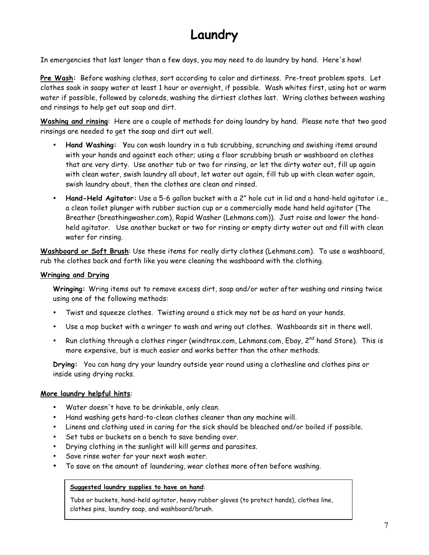# **Laundry**

In emergencies that last longer than a few days, you may need to do laundry by hand. Here's how!

**Pre Wash:** Before washing clothes, sort according to color and dirtiness. Pre-treat problem spots. Let clothes soak in soapy water at least 1 hour or overnight, if possible. Wash whites first, using hot or warm water if possible, followed by coloreds, washing the dirtiest clothes last. Wring clothes between washing and rinsings to help get out soap and dirt.

**Washing and rinsing**: Here are a couple of methods for doing laundry by hand. Please note that two good rinsings are needed to get the soap and dirt out well.

- **Hand Washing: Y**ou can wash laundry in a tub scrubbing, scrunching and swishing items around with your hands and against each other; using a floor scrubbing brush or washboard on clothes that are very dirty. Use another tub or two for rinsing, or let the dirty water out, fill up again with clean water, swish laundry all about, let water out again, fill tub up with clean water again, swish laundry about, then the clothes are clean and rinsed.
- **Hand-Held Agitator:** Use a 5-6 gallon bucket with a 2" hole cut in lid and a hand-held agitator i.e., a clean toilet plunger with rubber suction cup or a commercially made hand held agitator (The Breather (breathingwasher.com), Rapid Washer (Lehmans.com)). Just raise and lower the handheld agitator. Use another bucket or two for rinsing or empty dirty water out and fill with clean water for rinsing.

**Washboard or Soft Brush**: Use these items for really dirty clothes (Lehmans.com). To use a washboard, rub the clothes back and forth like you were cleaning the washboard with the clothing.

### **Wringing and Drying**

**Wringing:** Wring items out to remove excess dirt, soap and/or water after washing and rinsing twice using one of the following methods:

- Twist and squeeze clothes. Twisting around a stick may not be as hard on your hands.
- Use a mop bucket with a wringer to wash and wring out clothes. Washboards sit in there well.
- Run clothing through a clothes ringer (windtrax.com, Lehmans.com, Ebay,  $2^{nd}$  hand Store). This is more expensive, but is much easier and works better than the other methods.

**Drying:** You can hang dry your laundry outside year round using a clothesline and clothes pins or inside using drying racks.

#### **More laundry helpful hints**:

- Water doesn't have to be drinkable, only clean.
- Hand washing gets hard-to-clean clothes cleaner than any machine will.
- Linens and clothing used in caring for the sick should be bleached and/or boiled if possible.
- Set tubs or buckets on a bench to save bending over.
- Drying clothing in the sunlight will kill germs and parasites.
- Save rinse water for your next wash water.
- To save on the amount of laundering, wear clothes more often before washing.

#### **Suggested laundry supplies to have on hand**:

Tubs or buckets, hand-held agitator, heavy rubber gloves (to protect hands), clothes line, clothes pins, laundry soap, and washboard/brush.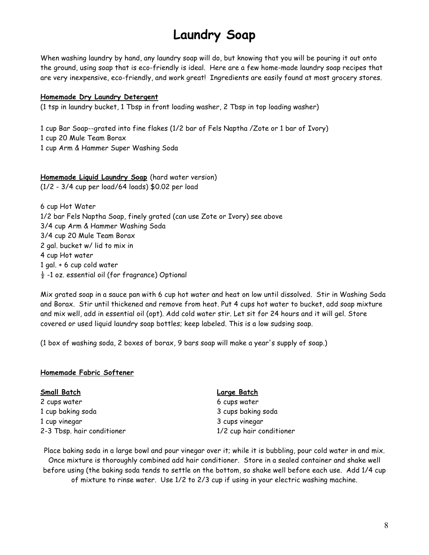## **Laundry Soap**

When washing laundry by hand, any laundry soap will do, but knowing that you will be pouring it out onto the ground, using soap that is eco-friendly is ideal. Here are a few home-made laundry soap recipes that are very inexpensive, eco-friendly, and work great! Ingredients are easily found at most grocery stores.

#### **Homemade Dry Laundry Detergent**

(1 tsp in laundry bucket, 1 Tbsp in front loading washer, 2 Tbsp in top loading washer)

1 cup Bar Soap--grated into fine flakes (1/2 bar of Fels Naptha /Zote or 1 bar of Ivory) 1 cup 20 Mule Team Borax 1 cup Arm & Hammer Super Washing Soda

**Homemade Liquid Laundry Soap** (hard water version) (1/2 - 3/4 cup per load/64 loads) \$0.02 per load

6 cup Hot Water 1/2 bar Fels Naptha Soap, finely grated (can use Zote or Ivory) see above 3/4 cup Arm & Hammer Washing Soda 3/4 cup 20 Mule Team Borax 2 gal. bucket w/ lid to mix in 4 cup Hot water 1 gal. + 6 cup cold water  $\frac{1}{2}$  -1 oz. essential oil (for fragrance) Optional

Mix grated soap in a sauce pan with 6 cup hot water and heat on low until dissolved. Stir in Washing Soda and Borax. Stir until thickened and remove from heat. Put 4 cups hot water to bucket, add soap mixture and mix well, add in essential oil (opt). Add cold water stir. Let sit for 24 hours and it will gel. Store covered or used liquid laundry soap bottles; keep labeled. This is a low sudsing soap.

(1 box of washing soda, 2 boxes of borax, 9 bars soap will make a year's supply of soap.)

#### **Homemade Fabric Softener**

| Small Batch                | <b>Large Batch</b>       |
|----------------------------|--------------------------|
| 2 cups water               | 6 cups water             |
| 1 cup baking soda          | 3 cups baking soda       |
| 1 cup vinegar              | 3 cups vinegar           |
| 2-3 Tbsp. hair conditioner | 1/2 cup hair conditioner |

Place baking soda in a large bowl and pour vinegar over it; while it is bubbling, pour cold water in and mix. Once mixture is thoroughly combined add hair conditioner. Store in a sealed container and shake well before using (the baking soda tends to settle on the bottom, so shake well before each use. Add 1/4 cup of mixture to rinse water. Use 1/2 to 2/3 cup if using in your electric washing machine.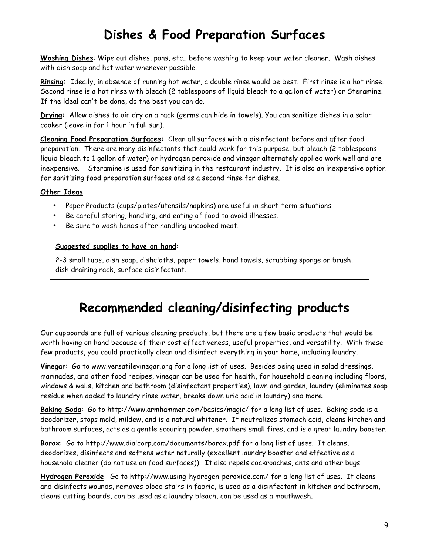# **Dishes & Food Preparation Surfaces**

**Washing Dishes**: Wipe out dishes, pans, etc., before washing to keep your water cleaner. Wash dishes with dish soap and hot water whenever possible.

**Rinsing:** Ideally, in absence of running hot water, a double rinse would be best. First rinse is a hot rinse. Second rinse is a hot rinse with bleach (2 tablespoons of liquid bleach to a gallon of water) or Steramine. If the ideal can't be done, do the best you can do.

**Drying:** Allow dishes to air dry on a rack (germs can hide in towels). You can sanitize dishes in a solar cooker (leave in for 1 hour in full sun).

**Cleaning Food Preparation Surfaces:** Clean all surfaces with a disinfectant before and after food preparation. There are many disinfectants that could work for this purpose, but bleach (2 tablespoons liquid bleach to 1 gallon of water) or hydrogen peroxide and vinegar alternately applied work well and are inexpensive. Steramine is used for sanitizing in the restaurant industry. It is also an inexpensive option for sanitizing food preparation surfaces and as a second rinse for dishes.

### **Other Ideas**

- Paper Products (cups/plates/utensils/napkins) are useful in short-term situations.
- Be careful storing, handling, and eating of food to avoid illnesses.
- Be sure to wash hands after handling uncooked meat.

### **Suggested supplies to have on hand**:

2-3 small tubs, dish soap, dishcloths, paper towels, hand towels, scrubbing sponge or brush, dish draining rack, surface disinfectant.

### **Recommended cleaning/disinfecting products**

Our cupboards are full of various cleaning products, but there are a few basic products that would be worth having on hand because of their cost effectiveness, useful properties, and versatility. With these few products, you could practically clean and disinfect everything in your home, including laundry.

**Vinegar**: Go to www.versatilevinegar.org for a long list of uses. Besides being used in salad dressings, marinades, and other food recipes, vinegar can be used for health, for household cleaning including floors, windows & walls, kitchen and bathroom (disinfectant properties), lawn and garden, laundry (eliminates soap residue when added to laundry rinse water, breaks down uric acid in laundry) and more.

**Baking Soda**: Go to http://www.armhammer.com/basics/magic/ for a long list of uses. Baking soda is a deodorizer, stops mold, mildew, and is a natural whitener. It neutralizes stomach acid, cleans kitchen and bathroom surfaces, acts as a gentle scouring powder, smothers small fires, and is a great laundry booster.

Borax: Go to http://www.dialcorp.com/documents/borax.pdf for a long list of uses. It cleans, deodorizes, disinfects and softens water naturally (excellent laundry booster and effective as a household cleaner (do not use on food surfaces)). It also repels cockroaches, ants and other bugs.

**Hydrogen Peroxide**: Go to http://www.using-hydrogen-peroxide.com/ for a long list of uses. It cleans and disinfects wounds, removes blood stains in fabric, is used as a disinfectant in kitchen and bathroom, cleans cutting boards, can be used as a laundry bleach, can be used as a mouthwash.